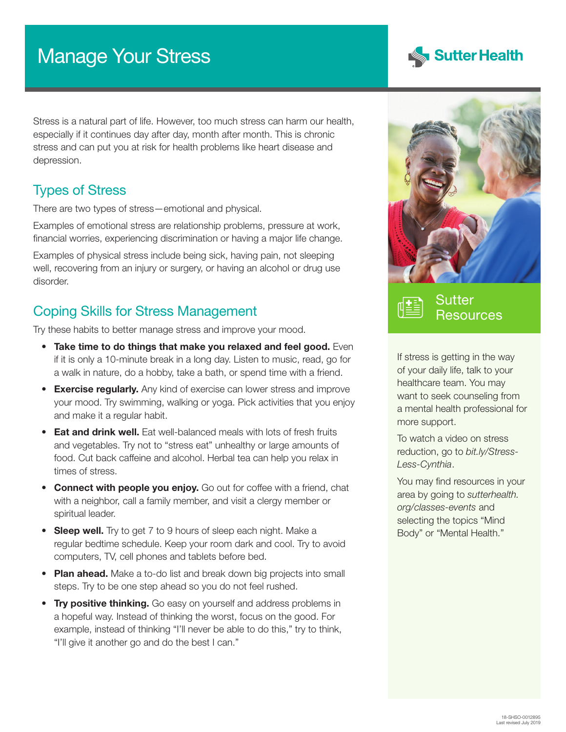# Manage Your Stress

Stress is a natural part of life. However, too much stress can harm our health, especially if it continues day after day, month after month. This is chronic stress and can put you at risk for health problems like heart disease and depression.

## Types of Stress

There are two types of stress—emotional and physical.

Examples of emotional stress are relationship problems, pressure at work, financial worries, experiencing discrimination or having a major life change.

Examples of physical stress include being sick, having pain, not sleeping well, recovering from an injury or surgery, or having an alcohol or drug use disorder.

## Coping Skills for Stress Management

Try these habits to better manage stress and improve your mood.

- Take time to do things that make you relaxed and feel good. Even if it is only a 10-minute break in a long day. Listen to music, read, go for a walk in nature, do a hobby, take a bath, or spend time with a friend.
- **Exercise regularly.** Any kind of exercise can lower stress and improve your mood. Try swimming, walking or yoga. Pick activities that you enjoy and make it a regular habit.
- **Eat and drink well.** Eat well-balanced meals with lots of fresh fruits and vegetables. Try not to "stress eat" unhealthy or large amounts of food. Cut back caffeine and alcohol. Herbal tea can help you relax in times of stress.
- **Connect with people you enjoy.** Go out for coffee with a friend, chat with a neighbor, call a family member, and visit a clergy member or spiritual leader.
- Sleep well. Try to get 7 to 9 hours of sleep each night. Make a regular bedtime schedule. Keep your room dark and cool. Try to avoid computers, TV, cell phones and tablets before bed.
- Plan ahead. Make a to-do list and break down big projects into small steps. Try to be one step ahead so you do not feel rushed.
- Try positive thinking. Go easy on yourself and address problems in a hopeful way. Instead of thinking the worst, focus on the good. For example, instead of thinking "I'll never be able to do this," try to think, "I'll give it another go and do the best I can."





Sutter **Resources** 

If stress is getting in the way of your daily life, talk to your healthcare team. You may want to seek counseling from a mental health professional for more support.

To watch a video on stress reduction, go to *[bit.ly/Stress-](http://bit.ly/Stress-Less-Cynthia)[Less-Cynthia](http://bit.ly/Stress-Less-Cynthia)*.

You may find resources in your area by going to *[sutterhealth.](http://sutterhealth.org/classes-events) [org/classes-events](http://sutterhealth.org/classes-events)* and selecting the topics "Mind Body" or "Mental Health."